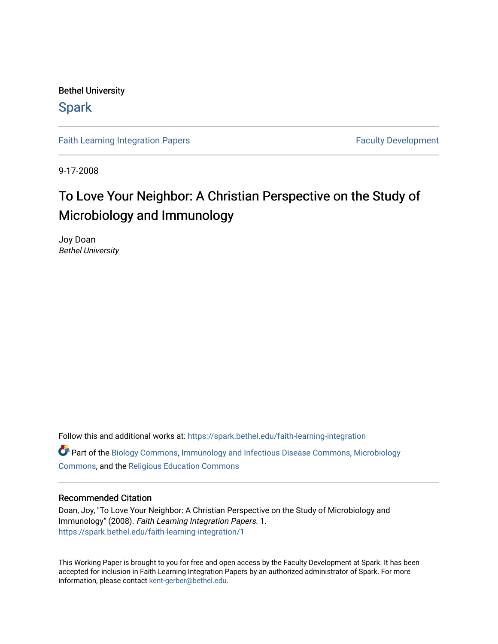Bethel University

### **Spark**

[Faith Learning Integration Papers](https://spark.bethel.edu/faith-learning-integration) **Faculty Development** Faculty Development

9-17-2008

# To Love Your Neighbor: A Christian Perspective on the Study of Microbiology and Immunology

Joy Doan Bethel University

Follow this and additional works at: [https://spark.bethel.edu/faith-learning-integration](https://spark.bethel.edu/faith-learning-integration?utm_source=spark.bethel.edu%2Ffaith-learning-integration%2F1&utm_medium=PDF&utm_campaign=PDFCoverPages) Part of the [Biology Commons,](http://network.bepress.com/hgg/discipline/41?utm_source=spark.bethel.edu%2Ffaith-learning-integration%2F1&utm_medium=PDF&utm_campaign=PDFCoverPages) [Immunology and Infectious Disease Commons,](http://network.bepress.com/hgg/discipline/33?utm_source=spark.bethel.edu%2Ffaith-learning-integration%2F1&utm_medium=PDF&utm_campaign=PDFCoverPages) [Microbiology](http://network.bepress.com/hgg/discipline/48?utm_source=spark.bethel.edu%2Ffaith-learning-integration%2F1&utm_medium=PDF&utm_campaign=PDFCoverPages)  [Commons](http://network.bepress.com/hgg/discipline/48?utm_source=spark.bethel.edu%2Ffaith-learning-integration%2F1&utm_medium=PDF&utm_campaign=PDFCoverPages), and the [Religious Education Commons](http://network.bepress.com/hgg/discipline/1414?utm_source=spark.bethel.edu%2Ffaith-learning-integration%2F1&utm_medium=PDF&utm_campaign=PDFCoverPages)

#### Recommended Citation

Doan, Joy, "To Love Your Neighbor: A Christian Perspective on the Study of Microbiology and Immunology" (2008). Faith Learning Integration Papers. 1. [https://spark.bethel.edu/faith-learning-integration/1](https://spark.bethel.edu/faith-learning-integration/1?utm_source=spark.bethel.edu%2Ffaith-learning-integration%2F1&utm_medium=PDF&utm_campaign=PDFCoverPages) 

This Working Paper is brought to you for free and open access by the Faculty Development at Spark. It has been accepted for inclusion in Faith Learning Integration Papers by an authorized administrator of Spark. For more information, please contact [kent-gerber@bethel.edu.](mailto:kent-gerber@bethel.edu)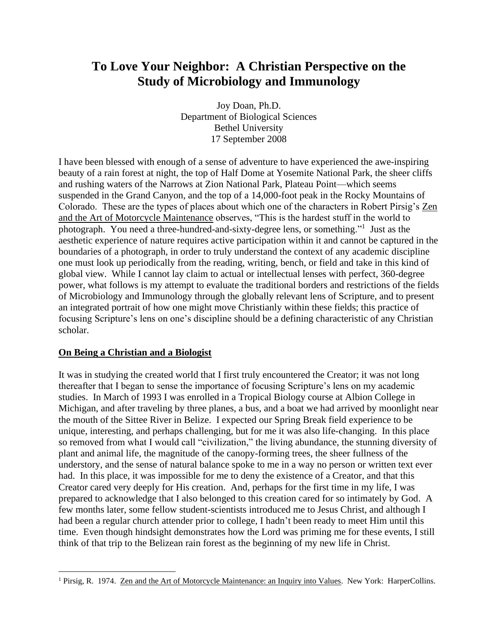## **To Love Your Neighbor: A Christian Perspective on the Study of Microbiology and Immunology**

Joy Doan, Ph.D. Department of Biological Sciences Bethel University 17 September 2008

I have been blessed with enough of a sense of adventure to have experienced the awe-inspiring beauty of a rain forest at night, the top of Half Dome at Yosemite National Park, the sheer cliffs and rushing waters of the Narrows at Zion National Park, Plateau Point—which seems suspended in the Grand Canyon, and the top of a 14,000-foot peak in the Rocky Mountains of Colorado. These are the types of places about which one of the characters in Robert Pirsig's Zen and the Art of Motorcycle Maintenance observes, "This is the hardest stuff in the world to photograph. You need a three-hundred-and-sixty-degree lens, or something."<sup>1</sup> Just as the aesthetic experience of nature requires active participation within it and cannot be captured in the boundaries of a photograph, in order to truly understand the context of any academic discipline one must look up periodically from the reading, writing, bench, or field and take in this kind of global view. While I cannot lay claim to actual or intellectual lenses with perfect, 360-degree power, what follows is my attempt to evaluate the traditional borders and restrictions of the fields of Microbiology and Immunology through the globally relevant lens of Scripture, and to present an integrated portrait of how one might move Christianly within these fields; this practice of focusing Scripture's lens on one's discipline should be a defining characteristic of any Christian scholar.

#### **On Being a Christian and a Biologist**

It was in studying the created world that I first truly encountered the Creator; it was not long thereafter that I began to sense the importance of focusing Scripture's lens on my academic studies. In March of 1993 I was enrolled in a Tropical Biology course at Albion College in Michigan, and after traveling by three planes, a bus, and a boat we had arrived by moonlight near the mouth of the Sittee River in Belize. I expected our Spring Break field experience to be unique, interesting, and perhaps challenging, but for me it was also life-changing. In this place so removed from what I would call "civilization," the living abundance, the stunning diversity of plant and animal life, the magnitude of the canopy-forming trees, the sheer fullness of the understory, and the sense of natural balance spoke to me in a way no person or written text ever had. In this place, it was impossible for me to deny the existence of a Creator, and that this Creator cared very deeply for His creation. And, perhaps for the first time in my life, I was prepared to acknowledge that I also belonged to this creation cared for so intimately by God. A few months later, some fellow student-scientists introduced me to Jesus Christ, and although I had been a regular church attender prior to college, I hadn't been ready to meet Him until this time. Even though hindsight demonstrates how the Lord was priming me for these events, I still think of that trip to the Belizean rain forest as the beginning of my new life in Christ.

<sup>1</sup> Pirsig, R. 1974. Zen and the Art of Motorcycle Maintenance: an Inquiry into Values. New York: HarperCollins.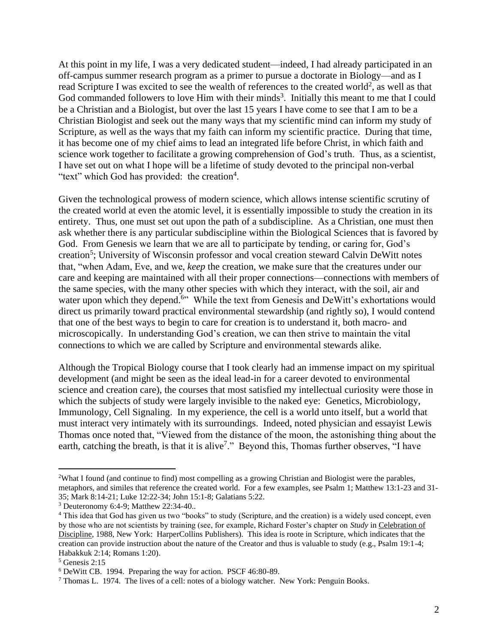At this point in my life, I was a very dedicated student—indeed, I had already participated in an off-campus summer research program as a primer to pursue a doctorate in Biology—and as I read Scripture I was excited to see the wealth of references to the created world<sup>2</sup>, as well as that God commanded followers to love Him with their minds<sup>3</sup>. Initially this meant to me that I could be a Christian and a Biologist, but over the last 15 years I have come to see that I am to be a Christian Biologist and seek out the many ways that my scientific mind can inform my study of Scripture, as well as the ways that my faith can inform my scientific practice. During that time, it has become one of my chief aims to lead an integrated life before Christ, in which faith and science work together to facilitate a growing comprehension of God's truth. Thus, as a scientist, I have set out on what I hope will be a lifetime of study devoted to the principal non-verbal "text" which God has provided: the creation<sup>4</sup>.

Given the technological prowess of modern science, which allows intense scientific scrutiny of the created world at even the atomic level, it is essentially impossible to study the creation in its entirety. Thus, one must set out upon the path of a subdiscipline. As a Christian, one must then ask whether there is any particular subdiscipline within the Biological Sciences that is favored by God. From Genesis we learn that we are all to participate by tending, or caring for, God's creation<sup>5</sup>; University of Wisconsin professor and vocal creation steward Calvin DeWitt notes that, "when Adam, Eve, and we, *keep* the creation, we make sure that the creatures under our care and keeping are maintained with all their proper connections—connections with members of the same species, with the many other species with which they interact, with the soil, air and water upon which they depend.<sup>6</sup>" While the text from Genesis and DeWitt's exhortations would direct us primarily toward practical environmental stewardship (and rightly so), I would contend that one of the best ways to begin to care for creation is to understand it, both macro- and microscopically. In understanding God's creation, we can then strive to maintain the vital connections to which we are called by Scripture and environmental stewards alike.

Although the Tropical Biology course that I took clearly had an immense impact on my spiritual development (and might be seen as the ideal lead-in for a career devoted to environmental science and creation care), the courses that most satisfied my intellectual curiosity were those in which the subjects of study were largely invisible to the naked eye: Genetics, Microbiology, Immunology, Cell Signaling. In my experience, the cell is a world unto itself, but a world that must interact very intimately with its surroundings. Indeed, noted physician and essayist Lewis Thomas once noted that, "Viewed from the distance of the moon, the astonishing thing about the earth, catching the breath, is that it is alive<sup>7</sup>." Beyond this, Thomas further observes, "I have

<sup>2</sup>What I found (and continue to find) most compelling as a growing Christian and Biologist were the parables, metaphors, and similes that reference the created world. For a few examples, see Psalm 1; Matthew 13:1-23 and 31- 35; Mark 8:14-21; Luke 12:22-34; John 15:1-8; Galatians 5:22.

<sup>3</sup> Deuteronomy 6:4-9; Matthew 22:34-40..

<sup>4</sup> This idea that God has given us two "books" to study (Scripture, and the creation) is a widely used concept, even by those who are not scientists by training (see, for example, Richard Foster's chapter on *Study* in Celebration of Discipline, 1988, New York: HarperCollins Publishers). This idea is roote in Scripture, which indicates that the creation can provide instruction about the nature of the Creator and thus is valuable to study (e.g., Psalm 19:1-4; Habakkuk 2:14; Romans 1:20).

<sup>5</sup> Genesis 2:15

<sup>6</sup> DeWitt CB. 1994. Preparing the way for action. PSCF 46:80-89.

<sup>7</sup> Thomas L. 1974. The lives of a cell: notes of a biology watcher. New York: Penguin Books.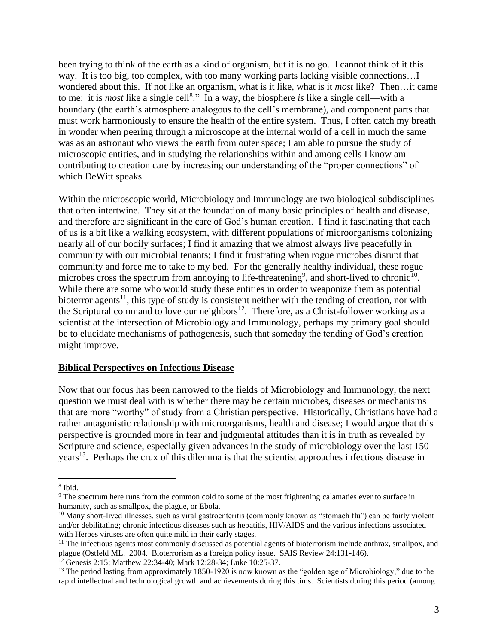been trying to think of the earth as a kind of organism, but it is no go. I cannot think of it this way. It is too big, too complex, with too many working parts lacking visible connections…I wondered about this. If not like an organism, what is it like, what is it *most* like? Then…it came to me: it is *most* like a single cell<sup>8</sup>." In a way, the biosphere *is* like a single cell—with a boundary (the earth's atmosphere analogous to the cell's membrane), and component parts that must work harmoniously to ensure the health of the entire system. Thus, I often catch my breath in wonder when peering through a microscope at the internal world of a cell in much the same was as an astronaut who views the earth from outer space; I am able to pursue the study of microscopic entities, and in studying the relationships within and among cells I know am contributing to creation care by increasing our understanding of the "proper connections" of which DeWitt speaks.

Within the microscopic world, Microbiology and Immunology are two biological subdisciplines that often intertwine. They sit at the foundation of many basic principles of health and disease, and therefore are significant in the care of God's human creation. I find it fascinating that each of us is a bit like a walking ecosystem, with different populations of microorganisms colonizing nearly all of our bodily surfaces; I find it amazing that we almost always live peacefully in community with our microbial tenants; I find it frustrating when rogue microbes disrupt that community and force me to take to my bed. For the generally healthy individual, these rogue microbes cross the spectrum from annoying to life-threatening<sup>9</sup>, and short-lived to chronic<sup>10</sup>. While there are some who would study these entities in order to weaponize them as potential bioterror agents<sup>11</sup>, this type of study is consistent neither with the tending of creation, nor with the Scriptural command to love our neighbors<sup>12</sup>. Therefore, as a Christ-follower working as a scientist at the intersection of Microbiology and Immunology, perhaps my primary goal should be to elucidate mechanisms of pathogenesis, such that someday the tending of God's creation might improve.

#### **Biblical Perspectives on Infectious Disease**

Now that our focus has been narrowed to the fields of Microbiology and Immunology, the next question we must deal with is whether there may be certain microbes, diseases or mechanisms that are more "worthy" of study from a Christian perspective. Historically, Christians have had a rather antagonistic relationship with microorganisms, health and disease; I would argue that this perspective is grounded more in fear and judgmental attitudes than it is in truth as revealed by Scripture and science, especially given advances in the study of microbiology over the last 150 years<sup>13</sup>. Perhaps the crux of this dilemma is that the scientist approaches infectious disease in

<sup>8</sup> Ibid.

<sup>&</sup>lt;sup>9</sup> The spectrum here runs from the common cold to some of the most frightening calamaties ever to surface in humanity, such as smallpox, the plague, or Ebola.

<sup>&</sup>lt;sup>10</sup> Many short-lived illnesses, such as viral gastroenteritis (commonly known as "stomach flu") can be fairly violent and/or debilitating; chronic infectious diseases such as hepatitis, HIV/AIDS and the various infections associated with Herpes viruses are often quite mild in their early stages.

 $11$  The infectious agents most commonly discussed as potential agents of bioterrorism include anthrax, smallpox, and plague (Ostfeld ML. 2004. Bioterrorism as a foreign policy issue. SAIS Review 24:131-146).

<sup>&</sup>lt;sup>12</sup> Genesis 2:15; Matthew 22:34-40; Mark 12:28-34; Luke 10:25-37.

<sup>&</sup>lt;sup>13</sup> The period lasting from approximately 1850-1920 is now known as the "golden age of Microbiology," due to the rapid intellectual and technological growth and achievements during this tims. Scientists during this period (among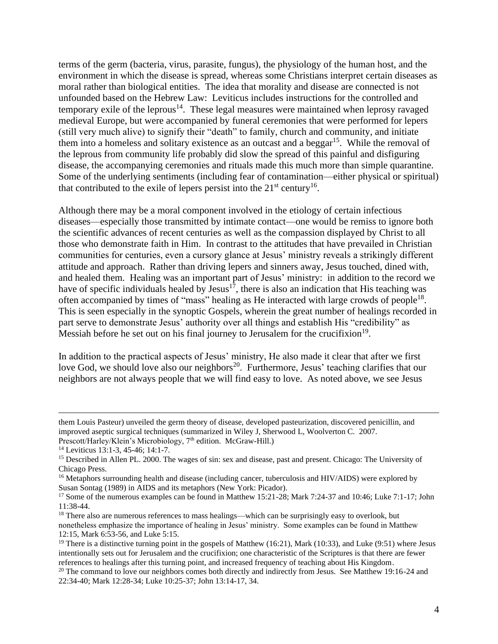terms of the germ (bacteria, virus, parasite, fungus), the physiology of the human host, and the environment in which the disease is spread, whereas some Christians interpret certain diseases as moral rather than biological entities. The idea that morality and disease are connected is not unfounded based on the Hebrew Law: Leviticus includes instructions for the controlled and temporary exile of the leprous<sup>14</sup>. These legal measures were maintained when leprosy ravaged medieval Europe, but were accompanied by funeral ceremonies that were performed for lepers (still very much alive) to signify their "death" to family, church and community, and initiate them into a homeless and solitary existence as an outcast and a beggar<sup>15</sup>. While the removal of the leprous from community life probably did slow the spread of this painful and disfiguring disease, the accompanying ceremonies and rituals made this much more than simple quarantine. Some of the underlying sentiments (including fear of contamination—either physical or spiritual) that contributed to the exile of lepers persist into the  $21<sup>st</sup>$  century<sup>16</sup>.

Although there may be a moral component involved in the etiology of certain infectious diseases—especially those transmitted by intimate contact—one would be remiss to ignore both the scientific advances of recent centuries as well as the compassion displayed by Christ to all those who demonstrate faith in Him. In contrast to the attitudes that have prevailed in Christian communities for centuries, even a cursory glance at Jesus' ministry reveals a strikingly different attitude and approach. Rather than driving lepers and sinners away, Jesus touched, dined with, and healed them. Healing was an important part of Jesus' ministry: in addition to the record we have of specific individuals healed by Jesus<sup>17</sup>, there is also an indication that His teaching was often accompanied by times of "mass" healing as He interacted with large crowds of people<sup>18</sup>. This is seen especially in the synoptic Gospels, wherein the great number of healings recorded in part serve to demonstrate Jesus' authority over all things and establish His "credibility" as Messiah before he set out on his final journey to Jerusalem for the crucifixion<sup>19</sup>.

In addition to the practical aspects of Jesus' ministry, He also made it clear that after we first love God, we should love also our neighbors<sup>20</sup>. Furthermore, Jesus' teaching clarifies that our neighbors are not always people that we will find easy to love. As noted above, we see Jesus

them Louis Pasteur) unveiled the germ theory of disease, developed pasteurization, discovered penicillin, and improved aseptic surgical techniques (summarized in Wiley J, Sherwood L, Woolverton C. 2007. Prescott/Harley/Klein's Microbiology, 7<sup>th</sup> edition. McGraw-Hill.)

<sup>14</sup> Leviticus 13:1-3, 45-46; 14:1-7.

<sup>&</sup>lt;sup>15</sup> Described in Allen PL. 2000. The wages of sin: sex and disease, past and present. Chicago: The University of Chicago Press.

<sup>&</sup>lt;sup>16</sup> Metaphors surrounding health and disease (including cancer, tuberculosis and HIV/AIDS) were explored by Susan Sontag (1989) in AIDS and its metaphors (New York: Picador).

<sup>&</sup>lt;sup>17</sup> Some of the numerous examples can be found in Matthew 15:21-28; Mark 7:24-37 and 10:46; Luke 7:1-17; John 11:38-44.

<sup>&</sup>lt;sup>18</sup> There also are numerous references to mass healings—which can be surprisingly easy to overlook, but nonetheless emphasize the importance of healing in Jesus' ministry. Some examples can be found in Matthew 12:15, Mark 6:53-56, and Luke 5:15.

<sup>&</sup>lt;sup>19</sup> There is a distinctive turning point in the gospels of Matthew (16:21), Mark (10:33), and Luke (9:51) where Jesus intentionally sets out for Jerusalem and the crucifixion; one characteristic of the Scriptures is that there are fewer references to healings after this turning point, and increased frequency of teaching about His Kingdom.

 $20$  The command to love our neighbors comes both directly and indirectly from Jesus. See Matthew 19:16-24 and 22:34-40; Mark 12:28-34; Luke 10:25-37; John 13:14-17, 34.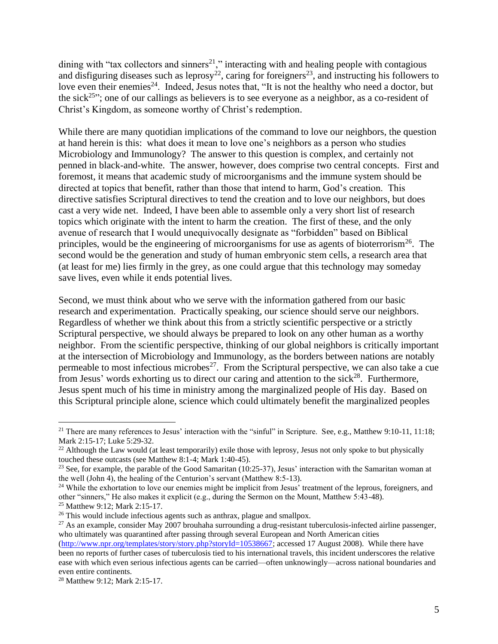dining with "tax collectors and sinners<sup>21</sup>," interacting with and healing people with contagious and disfiguring diseases such as leprosy<sup>22</sup>, caring for foreigners<sup>23</sup>, and instructing his followers to love even their enemies<sup>24</sup>. Indeed, Jesus notes that, "It is not the healthy who need a doctor, but the sick<sup>25</sup><sup>25</sup>; one of our callings as believers is to see everyone as a neighbor, as a co-resident of Christ's Kingdom, as someone worthy of Christ's redemption.

While there are many quotidian implications of the command to love our neighbors, the question at hand herein is this: what does it mean to love one's neighbors as a person who studies Microbiology and Immunology? The answer to this question is complex, and certainly not penned in black-and-white. The answer, however, does comprise two central concepts. First and foremost, it means that academic study of microorganisms and the immune system should be directed at topics that benefit, rather than those that intend to harm, God's creation. This directive satisfies Scriptural directives to tend the creation and to love our neighbors, but does cast a very wide net. Indeed, I have been able to assemble only a very short list of research topics which originate with the intent to harm the creation. The first of these, and the only avenue of research that I would unequivocally designate as "forbidden" based on Biblical principles, would be the engineering of microorganisms for use as agents of bioterrorism<sup>26</sup>. The second would be the generation and study of human embryonic stem cells, a research area that (at least for me) lies firmly in the grey, as one could argue that this technology may someday save lives, even while it ends potential lives.

Second, we must think about who we serve with the information gathered from our basic research and experimentation. Practically speaking, our science should serve our neighbors. Regardless of whether we think about this from a strictly scientific perspective or a strictly Scriptural perspective, we should always be prepared to look on any other human as a worthy neighbor. From the scientific perspective, thinking of our global neighbors is critically important at the intersection of Microbiology and Immunology, as the borders between nations are notably permeable to most infectious microbes<sup>27</sup>. From the Scriptural perspective, we can also take a cue from Jesus' words exhorting us to direct our caring and attention to the sick<sup>28</sup>. Furthermore, Jesus spent much of his time in ministry among the marginalized people of His day. Based on this Scriptural principle alone, science which could ultimately benefit the marginalized peoples

<sup>&</sup>lt;sup>21</sup> There are many references to Jesus' interaction with the "sinful" in Scripture. See, e.g., Matthew 9:10-11, 11:18; Mark 2:15-17; Luke 5:29-32.

<sup>&</sup>lt;sup>22</sup> Although the Law would (at least temporarily) exile those with leprosy, Jesus not only spoke to but physically touched these outcasts (see Matthew 8:1-4; Mark 1:40-45).

<sup>&</sup>lt;sup>23</sup> See, for example, the parable of the Good Samaritan  $(10:25-37)$ , Jesus' interaction with the Samaritan woman at the well (John 4), the healing of the Centurion's servant (Matthew 8:5-13).

<sup>&</sup>lt;sup>24</sup> While the exhortation to love our enemies might be implicit from Jesus' treatment of the leprous, foreigners, and other "sinners," He also makes it explicit (e.g., during the Sermon on the Mount, Matthew 5:43-48). <sup>25</sup> Matthew 9:12; Mark 2:15-17.

<sup>&</sup>lt;sup>26</sup> This would include infectious agents such as anthrax, plague and smallpox.

 $^{27}$  As an example, consider May 2007 brouhaha surrounding a drug-resistant tuberculosis-infected airline passenger, who ultimately was quarantined after passing through several European and North American cities

[<sup>\(</sup>http://www.npr.org/templates/story/story.php?storyId=10538667;](http://www.npr.org/templates/story/story.php?storyId=10538667) accessed 17 August 2008). While there have been no reports of further cases of tuberculosis tied to his international travels, this incident underscores the relative ease with which even serious infectious agents can be carried—often unknowingly—across national boundaries and even entire continents.

<sup>28</sup> Matthew 9:12; Mark 2:15-17.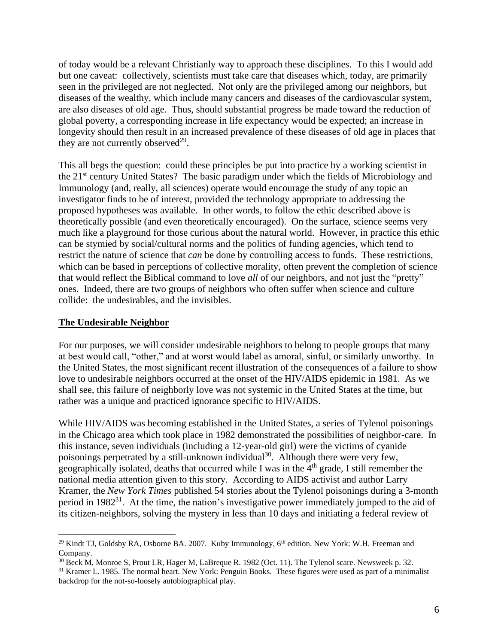of today would be a relevant Christianly way to approach these disciplines. To this I would add but one caveat: collectively, scientists must take care that diseases which, today, are primarily seen in the privileged are not neglected. Not only are the privileged among our neighbors, but diseases of the wealthy, which include many cancers and diseases of the cardiovascular system, are also diseases of old age. Thus, should substantial progress be made toward the reduction of global poverty, a corresponding increase in life expectancy would be expected; an increase in longevity should then result in an increased prevalence of these diseases of old age in places that they are not currently observed $^{29}$ .

This all begs the question: could these principles be put into practice by a working scientist in the 21st century United States? The basic paradigm under which the fields of Microbiology and Immunology (and, really, all sciences) operate would encourage the study of any topic an investigator finds to be of interest, provided the technology appropriate to addressing the proposed hypotheses was available. In other words, to follow the ethic described above is theoretically possible (and even theoretically encouraged). On the surface, science seems very much like a playground for those curious about the natural world. However, in practice this ethic can be stymied by social/cultural norms and the politics of funding agencies, which tend to restrict the nature of science that *can* be done by controlling access to funds. These restrictions, which can be based in perceptions of collective morality, often prevent the completion of science that would reflect the Biblical command to love *all* of our neighbors, and not just the "pretty" ones. Indeed, there are two groups of neighbors who often suffer when science and culture collide: the undesirables, and the invisibles.

#### **The Undesirable Neighbor**

For our purposes, we will consider undesirable neighbors to belong to people groups that many at best would call, "other," and at worst would label as amoral, sinful, or similarly unworthy. In the United States, the most significant recent illustration of the consequences of a failure to show love to undesirable neighbors occurred at the onset of the HIV/AIDS epidemic in 1981. As we shall see, this failure of neighborly love was not systemic in the United States at the time, but rather was a unique and practiced ignorance specific to HIV/AIDS.

While HIV/AIDS was becoming established in the United States, a series of Tylenol poisonings in the Chicago area which took place in 1982 demonstrated the possibilities of neighbor-care. In this instance, seven individuals (including a 12-year-old girl) were the victims of cyanide poisonings perpetrated by a still-unknown individual<sup>30</sup>. Although there were very few, geographically isolated, deaths that occurred while I was in the  $4<sup>th</sup>$  grade, I still remember the national media attention given to this story. According to AIDS activist and author Larry Kramer, the *New York Times* published 54 stories about the Tylenol poisonings during a 3-month period in 1982<sup>31</sup>. At the time, the nation's investigative power immediately jumped to the aid of its citizen-neighbors, solving the mystery in less than 10 days and initiating a federal review of

<sup>&</sup>lt;sup>29</sup> Kindt TJ, Goldsby RA, Osborne BA. 2007. Kuby Immunology, 6<sup>th</sup> edition. New York: W.H. Freeman and Company.

<sup>30</sup> Beck M, Monroe S, Prout LR, Hager M, LaBreque R. 1982 (Oct. 11). The Tylenol scare. Newsweek p. 32.

<sup>&</sup>lt;sup>31</sup> Kramer L. 1985. The normal heart. New York: Penguin Books. These figures were used as part of a minimalist backdrop for the not-so-loosely autobiographical play.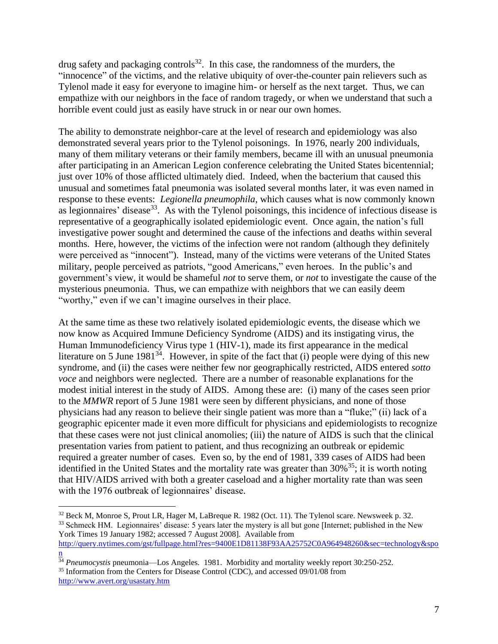drug safety and packaging controls<sup>32</sup>. In this case, the randomness of the murders, the "innocence" of the victims, and the relative ubiquity of over-the-counter pain relievers such as Tylenol made it easy for everyone to imagine him- or herself as the next target. Thus, we can empathize with our neighbors in the face of random tragedy, or when we understand that such a horrible event could just as easily have struck in or near our own homes.

The ability to demonstrate neighbor-care at the level of research and epidemiology was also demonstrated several years prior to the Tylenol poisonings. In 1976, nearly 200 individuals, many of them military veterans or their family members, became ill with an unusual pneumonia after participating in an American Legion conference celebrating the United States bicentennial; just over 10% of those afflicted ultimately died. Indeed, when the bacterium that caused this unusual and sometimes fatal pneumonia was isolated several months later, it was even named in response to these events: *Legionella pneumophila*, which causes what is now commonly known as legionnaires' disease<sup>33</sup>. As with the Tylenol poisonings, this incidence of infectious disease is representative of a geographically isolated epidemiologic event. Once again, the nation's full investigative power sought and determined the cause of the infections and deaths within several months. Here, however, the victims of the infection were not random (although they definitely were perceived as "innocent"). Instead, many of the victims were veterans of the United States military, people perceived as patriots, "good Americans," even heroes. In the public's and government's view, it would be shameful *not* to serve them, or *not* to investigate the cause of the mysterious pneumonia. Thus, we can empathize with neighbors that we can easily deem "worthy," even if we can't imagine ourselves in their place.

At the same time as these two relatively isolated epidemiologic events, the disease which we now know as Acquired Immune Deficiency Syndrome (AIDS) and its instigating virus, the Human Immunodeficiency Virus type 1 (HIV-1), made its first appearance in the medical literature on 5 June  $1981^{34}$ . However, in spite of the fact that (i) people were dying of this new syndrome, and (ii) the cases were neither few nor geographically restricted, AIDS entered *sotto voce* and neighbors were neglected. There are a number of reasonable explanations for the modest initial interest in the study of AIDS. Among these are: (i) many of the cases seen prior to the *MMWR* report of 5 June 1981 were seen by different physicians, and none of those physicians had any reason to believe their single patient was more than a "fluke;" (ii) lack of a geographic epicenter made it even more difficult for physicians and epidemiologists to recognize that these cases were not just clinical anomolies; (iii) the nature of AIDS is such that the clinical presentation varies from patient to patient, and thus recognizing an outbreak or epidemic required a greater number of cases. Even so, by the end of 1981, 339 cases of AIDS had been identified in the United States and the mortality rate was greater than  $30\%$ <sup>35</sup>; it is worth noting that HIV/AIDS arrived with both a greater caseload and a higher mortality rate than was seen with the 1976 outbreak of legionnaires' disease.

<sup>32</sup> Beck M, Monroe S, Prout LR, Hager M, LaBreque R. 1982 (Oct. 11). The Tylenol scare. Newsweek p. 32. <sup>33</sup> Schmeck HM. Legionnaires' disease: 5 years later the mystery is all but gone [Internet; published in the New York Times 19 January 1982; accessed 7 August 2008]. Available from

[http://query.nytimes.com/gst/fullpage.html?res=9400E1D81138F93AA25752C0A964948260&sec=technology&spo](http://query.nytimes.com/gst/fullpage.html?res=9400E1D81138F93AA25752C0A964948260&sec=technology&spon) [n](http://query.nytimes.com/gst/fullpage.html?res=9400E1D81138F93AA25752C0A964948260&sec=technology&spon)

<sup>&</sup>lt;sup>34</sup> *Pneumocystis* pneumonia—Los Angeles. 1981. Morbidity and mortality weekly report 30:250-252. <sup>35</sup> Information from the Centers for Disease Control (CDC), and accessed 09/01/08 from

<http://www.avert.org/usastaty.htm>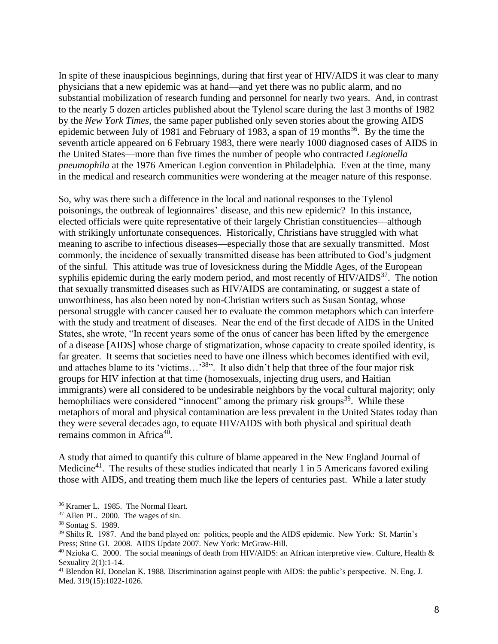In spite of these inauspicious beginnings, during that first year of HIV/AIDS it was clear to many physicians that a new epidemic was at hand—and yet there was no public alarm, and no substantial mobilization of research funding and personnel for nearly two years. And, in contrast to the nearly 5 dozen articles published about the Tylenol scare during the last 3 months of 1982 by the *New York Times*, the same paper published only seven stories about the growing AIDS epidemic between July of 1981 and February of 1983, a span of 19 months<sup>36</sup>. By the time the seventh article appeared on 6 February 1983, there were nearly 1000 diagnosed cases of AIDS in the United States—more than five times the number of people who contracted *Legionella pneumophila* at the 1976 American Legion convention in Philadelphia. Even at the time, many in the medical and research communities were wondering at the meager nature of this response.

So, why was there such a difference in the local and national responses to the Tylenol poisonings, the outbreak of legionnaires' disease, and this new epidemic? In this instance, elected officials were quite representative of their largely Christian constituencies—although with strikingly unfortunate consequences. Historically, Christians have struggled with what meaning to ascribe to infectious diseases—especially those that are sexually transmitted. Most commonly, the incidence of sexually transmitted disease has been attributed to God's judgment of the sinful. This attitude was true of lovesickness during the Middle Ages, of the European syphilis epidemic during the early modern period, and most recently of  $HIV/ALDS<sup>37</sup>$ . The notion that sexually transmitted diseases such as HIV/AIDS are contaminating, or suggest a state of unworthiness, has also been noted by non-Christian writers such as Susan Sontag, whose personal struggle with cancer caused her to evaluate the common metaphors which can interfere with the study and treatment of diseases. Near the end of the first decade of AIDS in the United States, she wrote, "In recent years some of the onus of cancer has been lifted by the emergence of a disease [AIDS] whose charge of stigmatization, whose capacity to create spoiled identity, is far greater. It seems that societies need to have one illness which becomes identified with evil, and attaches blame to its 'victims...'<sup>38</sup>". It also didn't help that three of the four major risk groups for HIV infection at that time (homosexuals, injecting drug users, and Haitian immigrants) were all considered to be undesirable neighbors by the vocal cultural majority; only hemophiliacs were considered "innocent" among the primary risk groups<sup>39</sup>. While these metaphors of moral and physical contamination are less prevalent in the United States today than they were several decades ago, to equate HIV/AIDS with both physical and spiritual death remains common in Africa<sup>40</sup>.

A study that aimed to quantify this culture of blame appeared in the New England Journal of Medicine<sup>41</sup>. The results of these studies indicated that nearly 1 in 5 Americans favored exiling those with AIDS, and treating them much like the lepers of centuries past. While a later study

<sup>36</sup> Kramer L. 1985. The Normal Heart.

<sup>37</sup> Allen PL. 2000. The wages of sin.

<sup>38</sup> Sontag S. 1989.

<sup>&</sup>lt;sup>39</sup> Shilts R. 1987. And the band played on: politics, people and the AIDS epidemic. New York: St. Martin's Press; Stine GJ. 2008. AIDS Update 2007. New York: McGraw-Hill.

<sup>&</sup>lt;sup>40</sup> Nzioka C. 2000. The social meanings of death from HIV/AIDS: an African interpretive view. Culture, Health & Sexuality 2(1):1-14.

 $^{41}$  Blendon RJ, Donelan K. 1988. Discrimination against people with AIDS: the public's perspective. N. Eng. J. Med. 319(15):1022-1026.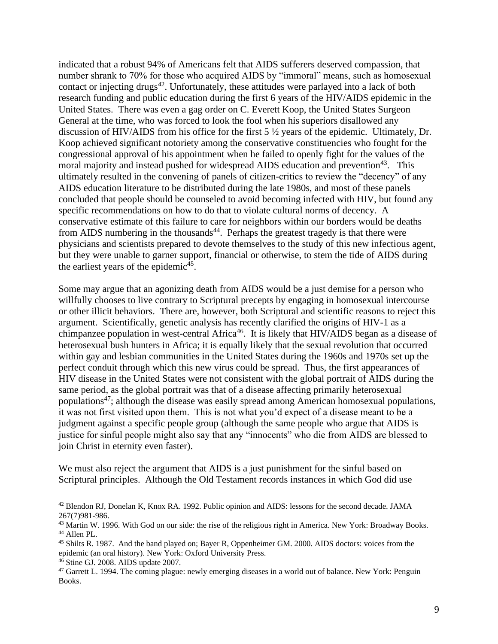indicated that a robust 94% of Americans felt that AIDS sufferers deserved compassion, that number shrank to 70% for those who acquired AIDS by "immoral" means, such as homosexual contact or injecting drugs<sup>42</sup>. Unfortunately, these attitudes were parlayed into a lack of both research funding and public education during the first 6 years of the HIV/AIDS epidemic in the United States. There was even a gag order on C. Everett Koop, the United States Surgeon General at the time, who was forced to look the fool when his superiors disallowed any discussion of HIV/AIDS from his office for the first 5 ½ years of the epidemic. Ultimately, Dr. Koop achieved significant notoriety among the conservative constituencies who fought for the congressional approval of his appointment when he failed to openly fight for the values of the moral majority and instead pushed for widespread AIDS education and prevention<sup>43</sup>. This ultimately resulted in the convening of panels of citizen-critics to review the "decency" of any AIDS education literature to be distributed during the late 1980s, and most of these panels concluded that people should be counseled to avoid becoming infected with HIV, but found any specific recommendations on how to do that to violate cultural norms of decency. A conservative estimate of this failure to care for neighbors within our borders would be deaths from AIDS numbering in the thousands<sup>44</sup>. Perhaps the greatest tragedy is that there were physicians and scientists prepared to devote themselves to the study of this new infectious agent, but they were unable to garner support, financial or otherwise, to stem the tide of AIDS during the earliest years of the epidemic<sup>45</sup>.

Some may argue that an agonizing death from AIDS would be a just demise for a person who willfully chooses to live contrary to Scriptural precepts by engaging in homosexual intercourse or other illicit behaviors. There are, however, both Scriptural and scientific reasons to reject this argument. Scientifically, genetic analysis has recently clarified the origins of HIV-1 as a chimpanzee population in west-central Africa<sup>46</sup>. It is likely that HIV/AIDS began as a disease of heterosexual bush hunters in Africa; it is equally likely that the sexual revolution that occurred within gay and lesbian communities in the United States during the 1960s and 1970s set up the perfect conduit through which this new virus could be spread. Thus, the first appearances of HIV disease in the United States were not consistent with the global portrait of AIDS during the same period, as the global portrait was that of a disease affecting primarily heterosexual populations<sup>47</sup>; although the disease was easily spread among American homosexual populations, it was not first visited upon them. This is not what you'd expect of a disease meant to be a judgment against a specific people group (although the same people who argue that AIDS is justice for sinful people might also say that any "innocents" who die from AIDS are blessed to join Christ in eternity even faster).

We must also reject the argument that AIDS is a just punishment for the sinful based on Scriptural principles. Although the Old Testament records instances in which God did use

<sup>42</sup> Blendon RJ, Donelan K, Knox RA. 1992. Public opinion and AIDS: lessons for the second decade. JAMA 267(7)981-986.

<sup>&</sup>lt;sup>43</sup> Martin W. 1996. With God on our side: the rise of the religious right in America. New York: Broadway Books. <sup>44</sup> Allen PL.

<sup>45</sup> Shilts R. 1987. And the band played on; Bayer R, Oppenheimer GM. 2000. AIDS doctors: voices from the epidemic (an oral history). New York: Oxford University Press.

<sup>46</sup> Stine GJ. 2008. AIDS update 2007.

<sup>&</sup>lt;sup>47</sup> Garrett L. 1994. The coming plague: newly emerging diseases in a world out of balance. New York: Penguin Books.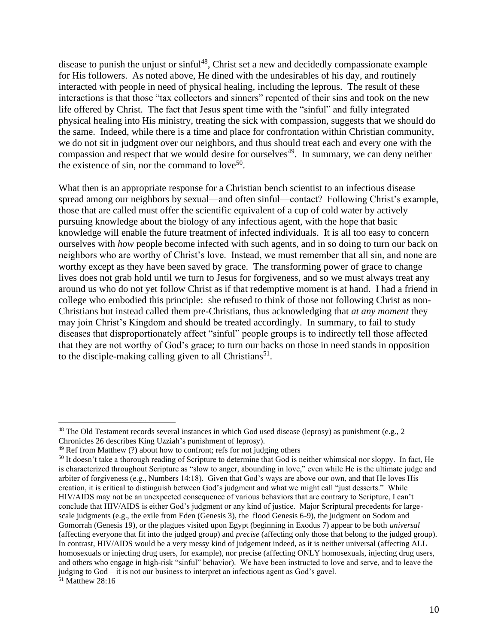disease to punish the unjust or sinful<sup>48</sup>, Christ set a new and decidedly compassionate example for His followers. As noted above, He dined with the undesirables of his day, and routinely interacted with people in need of physical healing, including the leprous. The result of these interactions is that those "tax collectors and sinners" repented of their sins and took on the new life offered by Christ. The fact that Jesus spent time with the "sinful" and fully integrated physical healing into His ministry, treating the sick with compassion, suggests that we should do the same. Indeed, while there is a time and place for confrontation within Christian community, we do not sit in judgment over our neighbors, and thus should treat each and every one with the compassion and respect that we would desire for ourselves<sup>49</sup>. In summary, we can deny neither the existence of sin, nor the command to love<sup>50</sup>.

What then is an appropriate response for a Christian bench scientist to an infectious disease spread among our neighbors by sexual—and often sinful—contact? Following Christ's example, those that are called must offer the scientific equivalent of a cup of cold water by actively pursuing knowledge about the biology of any infectious agent, with the hope that basic knowledge will enable the future treatment of infected individuals. It is all too easy to concern ourselves with *how* people become infected with such agents, and in so doing to turn our back on neighbors who are worthy of Christ's love. Instead, we must remember that all sin, and none are worthy except as they have been saved by grace. The transforming power of grace to change lives does not grab hold until we turn to Jesus for forgiveness, and so we must always treat any around us who do not yet follow Christ as if that redemptive moment is at hand. I had a friend in college who embodied this principle: she refused to think of those not following Christ as non-Christians but instead called them pre-Christians, thus acknowledging that *at any moment* they may join Christ's Kingdom and should be treated accordingly. In summary, to fail to study diseases that disproportionately affect "sinful" people groups is to indirectly tell those affected that they are not worthy of God's grace; to turn our backs on those in need stands in opposition to the disciple-making calling given to all Christians<sup>51</sup>.

<sup>&</sup>lt;sup>48</sup> The Old Testament records several instances in which God used disease (leprosy) as punishment (e.g., 2 Chronicles 26 describes King Uzziah's punishment of leprosy).

 $49$  Ref from Matthew (?) about how to confront; refs for not judging others

<sup>50</sup> It doesn't take a thorough reading of Scripture to determine that God is neither whimsical nor sloppy. In fact, He is characterized throughout Scripture as "slow to anger, abounding in love," even while He is the ultimate judge and arbiter of forgiveness (e.g., Numbers 14:18). Given that God's ways are above our own, and that He loves His creation, it is critical to distinguish between God's judgment and what we might call "just desserts." While HIV/AIDS may not be an unexpected consequence of various behaviors that are contrary to Scripture, I can't conclude that HIV/AIDS is either God's judgment or any kind of justice. Major Scriptural precedents for largescale judgments (e.g., the exile from Eden (Genesis 3), the flood Genesis 6-9), the judgment on Sodom and Gomorrah (Genesis 19), or the plagues visited upon Egypt (beginning in Exodus 7) appear to be both *universal* (affecting everyone that fit into the judged group) and *precise* (affecting only those that belong to the judged group). In contrast, HIV/AIDS would be a very messy kind of judgement indeed, as it is neither universal (affecting ALL homosexuals or injecting drug users, for example), nor precise (affecting ONLY homosexuals, injecting drug users, and others who engage in high-risk "sinful" behavior). We have been instructed to love and serve, and to leave the judging to God—it is not our business to interpret an infectious agent as God's gavel.

<sup>51</sup> Matthew 28:16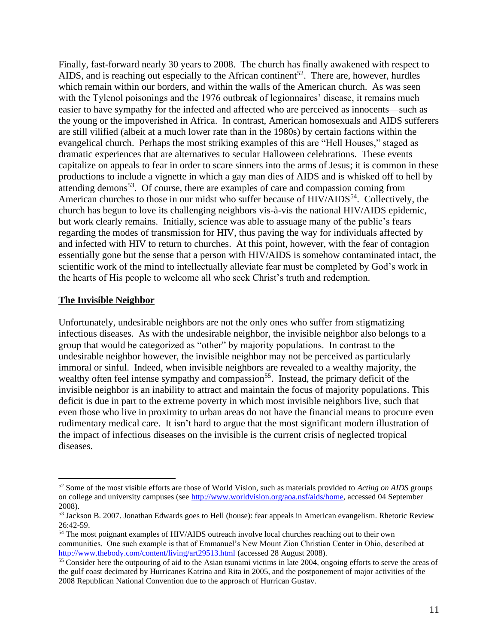Finally, fast-forward nearly 30 years to 2008. The church has finally awakened with respect to AIDS, and is reaching out especially to the African continent<sup>52</sup>. There are, however, hurdles which remain within our borders, and within the walls of the American church. As was seen with the Tylenol poisonings and the 1976 outbreak of legionnaires' disease, it remains much easier to have sympathy for the infected and affected who are perceived as innocents—such as the young or the impoverished in Africa. In contrast, American homosexuals and AIDS sufferers are still vilified (albeit at a much lower rate than in the 1980s) by certain factions within the evangelical church. Perhaps the most striking examples of this are "Hell Houses," staged as dramatic experiences that are alternatives to secular Halloween celebrations. These events capitalize on appeals to fear in order to scare sinners into the arms of Jesus; it is common in these productions to include a vignette in which a gay man dies of AIDS and is whisked off to hell by attending demons<sup>53</sup>. Of course, there are examples of care and compassion coming from American churches to those in our midst who suffer because of HIV/AIDS<sup>54</sup>. Collectively, the church has begun to love its challenging neighbors vis-à-vis the national HIV/AIDS epidemic, but work clearly remains. Initially, science was able to assuage many of the public's fears regarding the modes of transmission for HIV, thus paving the way for individuals affected by and infected with HIV to return to churches. At this point, however, with the fear of contagion essentially gone but the sense that a person with HIV/AIDS is somehow contaminated intact, the scientific work of the mind to intellectually alleviate fear must be completed by God's work in the hearts of His people to welcome all who seek Christ's truth and redemption.

#### **The Invisible Neighbor**

Unfortunately, undesirable neighbors are not the only ones who suffer from stigmatizing infectious diseases. As with the undesirable neighbor, the invisible neighbor also belongs to a group that would be categorized as "other" by majority populations. In contrast to the undesirable neighbor however, the invisible neighbor may not be perceived as particularly immoral or sinful. Indeed, when invisible neighbors are revealed to a wealthy majority, the wealthy often feel intense sympathy and compassion<sup>55</sup>. Instead, the primary deficit of the invisible neighbor is an inability to attract and maintain the focus of majority populations. This deficit is due in part to the extreme poverty in which most invisible neighbors live, such that even those who live in proximity to urban areas do not have the financial means to procure even rudimentary medical care. It isn't hard to argue that the most significant modern illustration of the impact of infectious diseases on the invisible is the current crisis of neglected tropical diseases.

<sup>52</sup> Some of the most visible efforts are those of World Vision, such as materials provided to *Acting on AIDS* groups on college and university campuses (see [http://www.worldvision.org/aoa.nsf/aids/home,](http://www.worldvision.org/aoa.nsf/aids/home) accessed 04 September 2008).

<sup>53</sup> Jackson B. 2007. Jonathan Edwards goes to Hell (house): fear appeals in American evangelism. Rhetoric Review 26:42-59.

<sup>54</sup> The most poignant examples of HIV/AIDS outreach involve local churches reaching out to their own communities. One such example is that of Emmanuel's New Mount Zion Christian Center in Ohio, described at <http://www.thebody.com/content/living/art29513.html> (accessed 28 August 2008).

<sup>&</sup>lt;sup>55</sup> Consider here the outpouring of aid to the Asian tsunami victims in late 2004, ongoing efforts to serve the areas of the gulf coast decimated by Hurricanes Katrina and Rita in 2005, and the postponement of major activities of the 2008 Republican National Convention due to the approach of Hurrican Gustav.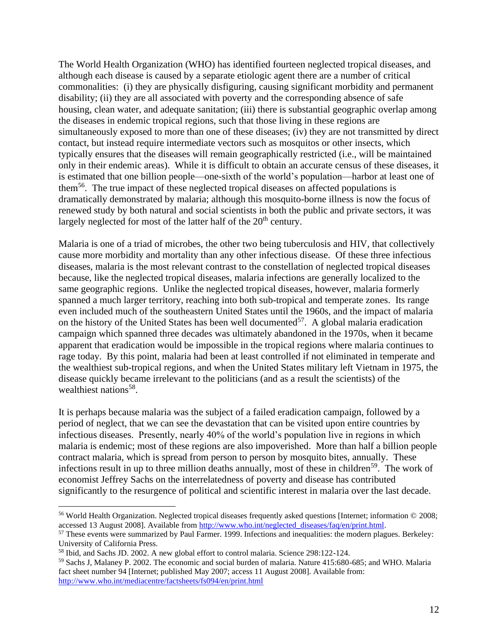The World Health Organization (WHO) has identified fourteen neglected tropical diseases, and although each disease is caused by a separate etiologic agent there are a number of critical commonalities: (i) they are physically disfiguring, causing significant morbidity and permanent disability; (ii) they are all associated with poverty and the corresponding absence of safe housing, clean water, and adequate sanitation; (iii) there is substantial geographic overlap among the diseases in endemic tropical regions, such that those living in these regions are simultaneously exposed to more than one of these diseases; (iv) they are not transmitted by direct contact, but instead require intermediate vectors such as mosquitos or other insects, which typically ensures that the diseases will remain geographically restricted (i.e., will be maintained only in their endemic areas). While it is difficult to obtain an accurate census of these diseases, it is estimated that one billion people—one-sixth of the world's population—harbor at least one of them<sup>56</sup>. The true impact of these neglected tropical diseases on affected populations is dramatically demonstrated by malaria; although this mosquito-borne illness is now the focus of renewed study by both natural and social scientists in both the public and private sectors, it was largely neglected for most of the latter half of the  $20<sup>th</sup>$  century.

Malaria is one of a triad of microbes, the other two being tuberculosis and HIV, that collectively cause more morbidity and mortality than any other infectious disease. Of these three infectious diseases, malaria is the most relevant contrast to the constellation of neglected tropical diseases because, like the neglected tropical diseases, malaria infections are generally localized to the same geographic regions. Unlike the neglected tropical diseases, however, malaria formerly spanned a much larger territory, reaching into both sub-tropical and temperate zones. Its range even included much of the southeastern United States until the 1960s, and the impact of malaria on the history of the United States has been well documented<sup>57</sup>. A global malaria eradication campaign which spanned three decades was ultimately abandoned in the 1970s, when it became apparent that eradication would be impossible in the tropical regions where malaria continues to rage today. By this point, malaria had been at least controlled if not eliminated in temperate and the wealthiest sub-tropical regions, and when the United States military left Vietnam in 1975, the disease quickly became irrelevant to the politicians (and as a result the scientists) of the wealthiest nations<sup>58</sup>.

It is perhaps because malaria was the subject of a failed eradication campaign, followed by a period of neglect, that we can see the devastation that can be visited upon entire countries by infectious diseases. Presently, nearly 40% of the world's population live in regions in which malaria is endemic; most of these regions are also impoverished. More than half a billion people contract malaria, which is spread from person to person by mosquito bites, annually. These infections result in up to three million deaths annually, most of these in children<sup>59</sup>. The work of economist Jeffrey Sachs on the interrelatedness of poverty and disease has contributed significantly to the resurgence of political and scientific interest in malaria over the last decade.

<sup>56</sup> World Health Organization. Neglected tropical diseases frequently asked questions [Internet; information © 2008; accessed 13 August 2008]. Available from [http://www.who.int/neglected\\_diseases/faq/en/print.html.](http://www.who.int/neglected_diseases/faq/en/print.html)

<sup>&</sup>lt;sup>57</sup> These events were summarized by Paul Farmer. 1999. Infections and inequalities: the modern plagues. Berkeley: University of California Press.

<sup>58</sup> Ibid, and Sachs JD. 2002. A new global effort to control malaria. Science 298:122-124.

<sup>59</sup> Sachs J, Malaney P. 2002. The economic and social burden of malaria. Nature 415:680-685; and WHO. Malaria fact sheet number 94 [Internet; published May 2007; access 11 August 2008]. Available from: <http://www.who.int/mediacentre/factsheets/fs094/en/print.html>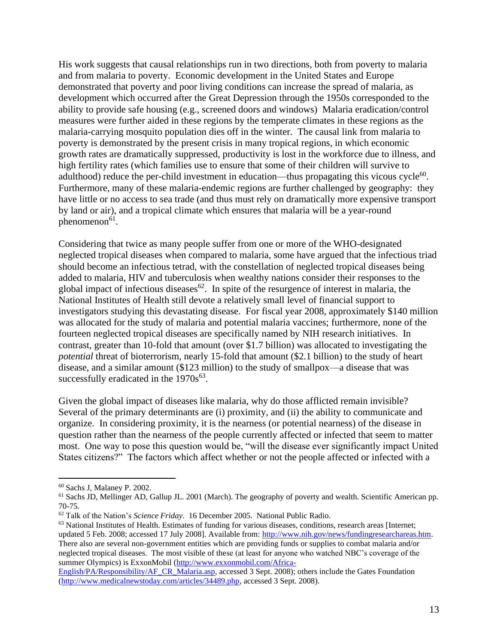His work suggests that causal relationships run in two directions, both from poverty to malaria and from malaria to poverty. Economic development in the United States and Europe demonstrated that poverty and poor living conditions can increase the spread of malaria, as development which occurred after the Great Depression through the 1950s corresponded to the ability to provide safe housing (e.g., screened doors and windows) Malaria eradication/control measures were further aided in these regions by the temperate climates in these regions as the malaria-carrying mosquito population dies off in the winter. The causal link from malaria to poverty is demonstrated by the present crisis in many tropical regions, in which economic growth rates are dramatically suppressed, productivity is lost in the workforce due to illness, and high fertility rates (which families use to ensure that some of their children will survive to adulthood) reduce the per-child investment in education—thus propagating this vicous cycle $^{60}$ . Furthermore, many of these malaria-endemic regions are further challenged by geography: they have little or no access to sea trade (and thus must rely on dramatically more expensive transport by land or air), and a tropical climate which ensures that malaria will be a year-round phenomenon<sup>61</sup>.

Considering that twice as many people suffer from one or more of the WHO-designated neglected tropical diseases when compared to malaria, some have argued that the infectious triad should become an infectious tetrad, with the constellation of neglected tropical diseases being added to malaria, HIV and tuberculosis when wealthy nations consider their responses to the global impact of infectious diseases $^{62}$ . In spite of the resurgence of interest in malaria, the National Institutes of Health still devote a relatively small level of financial support to investigators studying this devastating disease. For fiscal year 2008, approximately \$140 million was allocated for the study of malaria and potential malaria vaccines; furthermore, none of the fourteen neglected tropical diseases are specifically named by NIH research initiatives. In contrast, greater than 10-fold that amount (over \$1.7 billion) was allocated to investigating the *potential* threat of bioterrorism, nearly 15-fold that amount (\$2.1 billion) to the study of heart disease, and a similar amount (\$123 million) to the study of smallpox—a disease that was successfully eradicated in the  $1970s^{63}$ .

Given the global impact of diseases like malaria, why do those afflicted remain invisible? Several of the primary determinants are (i) proximity, and (ii) the ability to communicate and organize. In considering proximity, it is the nearness (or potential nearness) of the disease in question rather than the nearness of the people currently affected or infected that seem to matter most. One way to pose this question would be, "will the disease ever significantly impact United States citizens?" The factors which affect whether or not the people affected or infected with a

<sup>60</sup> Sachs J, Malaney P. 2002.

<sup>&</sup>lt;sup>61</sup> Sachs JD, Mellinger AD, Gallup JL. 2001 (March). The geography of poverty and wealth. Scientific American pp. 70-75.

<sup>62</sup> Talk of the Nation's *Science Friday*. 16 December 2005. National Public Radio.

 $63$  National Institutes of Health. Estimates of funding for various diseases, conditions, research areas [Internet; updated 5 Feb. 2008; accessed 17 July 2008]. Available from: [http://www.nih.gov/news/fundingresearchareas.htm.](http://www.nih.gov/news/fundingresearchareas.htm) There also are several non-government entities which are providing funds or supplies to combat malaria and/or neglected tropical diseases. The most visible of these (at least for anyone who watched NBC's coverage of the summer Olympics) is ExxonMobil [\(http://www.exxonmobil.com/Africa-](http://www.exxonmobil.com/Africa-English/PA/Responsibility/AF_CR_Malaria.asp)

[English/PA/Responsibility/AF\\_CR\\_Malaria.asp,](http://www.exxonmobil.com/Africa-English/PA/Responsibility/AF_CR_Malaria.asp) accessed 3 Sept. 2008); others include the Gates Foundation [\(http://www.medicalnewstoday.com/articles/34489.php,](http://www.medicalnewstoday.com/articles/34489.php) accessed 3 Sept. 2008).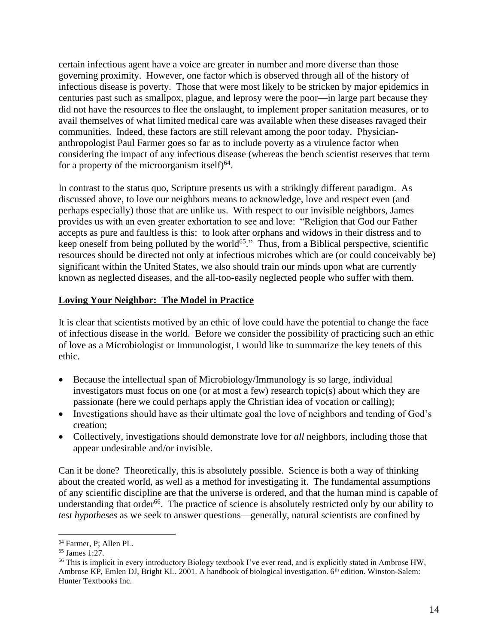certain infectious agent have a voice are greater in number and more diverse than those governing proximity. However, one factor which is observed through all of the history of infectious disease is poverty. Those that were most likely to be stricken by major epidemics in centuries past such as smallpox, plague, and leprosy were the poor—in large part because they did not have the resources to flee the onslaught, to implement proper sanitation measures, or to avail themselves of what limited medical care was available when these diseases ravaged their communities. Indeed, these factors are still relevant among the poor today. Physiciananthropologist Paul Farmer goes so far as to include poverty as a virulence factor when considering the impact of any infectious disease (whereas the bench scientist reserves that term for a property of the microorganism itself) $64$ .

In contrast to the status quo, Scripture presents us with a strikingly different paradigm. As discussed above, to love our neighbors means to acknowledge, love and respect even (and perhaps especially) those that are unlike us. With respect to our invisible neighbors, James provides us with an even greater exhortation to see and love: "Religion that God our Father accepts as pure and faultless is this: to look after orphans and widows in their distress and to keep oneself from being polluted by the world<sup>65</sup>." Thus, from a Biblical perspective, scientific resources should be directed not only at infectious microbes which are (or could conceivably be) significant within the United States, we also should train our minds upon what are currently known as neglected diseases, and the all-too-easily neglected people who suffer with them.

#### **Loving Your Neighbor: The Model in Practice**

It is clear that scientists motived by an ethic of love could have the potential to change the face of infectious disease in the world. Before we consider the possibility of practicing such an ethic of love as a Microbiologist or Immunologist, I would like to summarize the key tenets of this ethic.

- Because the intellectual span of Microbiology/Immunology is so large, individual investigators must focus on one (or at most a few) research topic(s) about which they are passionate (here we could perhaps apply the Christian idea of vocation or calling);
- Investigations should have as their ultimate goal the love of neighbors and tending of God's creation;
- Collectively, investigations should demonstrate love for *all* neighbors, including those that appear undesirable and/or invisible.

Can it be done? Theoretically, this is absolutely possible. Science is both a way of thinking about the created world, as well as a method for investigating it. The fundamental assumptions of any scientific discipline are that the universe is ordered, and that the human mind is capable of understanding that order<sup>66</sup>. The practice of science is absolutely restricted only by our ability to *test hypotheses* as we seek to answer questions—generally, natural scientists are confined by

<sup>64</sup> Farmer, P; Allen PL.

<sup>65</sup> James 1:27.

<sup>&</sup>lt;sup>66</sup> This is implicit in every introductory Biology textbook I've ever read, and is explicitly stated in Ambrose HW, Ambrose KP, Emlen DJ, Bright KL. 2001. A handbook of biological investigation. 6<sup>th</sup> edition. Winston-Salem: Hunter Textbooks Inc.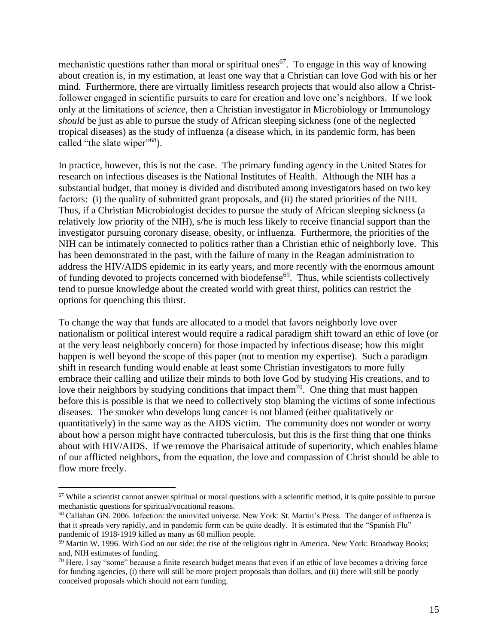mechanistic questions rather than moral or spiritual ones<sup>67</sup>. To engage in this way of knowing about creation is, in my estimation, at least one way that a Christian can love God with his or her mind. Furthermore, there are virtually limitless research projects that would also allow a Christfollower engaged in scientific pursuits to care for creation and love one's neighbors. If we look only at the limitations of *science*, then a Christian investigator in Microbiology or Immunology *should* be just as able to pursue the study of African sleeping sickness (one of the neglected tropical diseases) as the study of influenza (a disease which, in its pandemic form, has been called "the slate wiper"<sup>68</sup>).

In practice, however, this is not the case. The primary funding agency in the United States for research on infectious diseases is the National Institutes of Health. Although the NIH has a substantial budget, that money is divided and distributed among investigators based on two key factors: (i) the quality of submitted grant proposals, and (ii) the stated priorities of the NIH. Thus, if a Christian Microbiologist decides to pursue the study of African sleeping sickness (a relatively low priority of the NIH), s/he is much less likely to receive financial support than the investigator pursuing coronary disease, obesity, or influenza. Furthermore, the priorities of the NIH can be intimately connected to politics rather than a Christian ethic of neighborly love. This has been demonstrated in the past, with the failure of many in the Reagan administration to address the HIV/AIDS epidemic in its early years, and more recently with the enormous amount of funding devoted to projects concerned with biodefense<sup> $69$ </sup>. Thus, while scientists collectively tend to pursue knowledge about the created world with great thirst, politics can restrict the options for quenching this thirst.

To change the way that funds are allocated to a model that favors neighborly love over nationalism or political interest would require a radical paradigm shift toward an ethic of love (or at the very least neighborly concern) for those impacted by infectious disease; how this might happen is well beyond the scope of this paper (not to mention my expertise). Such a paradigm shift in research funding would enable at least some Christian investigators to more fully embrace their calling and utilize their minds to both love God by studying His creations, and to love their neighbors by studying conditions that impact them<sup>70</sup>. One thing that must happen before this is possible is that we need to collectively stop blaming the victims of some infectious diseases. The smoker who develops lung cancer is not blamed (either qualitatively or quantitatively) in the same way as the AIDS victim. The community does not wonder or worry about how a person might have contracted tuberculosis, but this is the first thing that one thinks about with HIV/AIDS. If we remove the Pharisaical attitude of superiority, which enables blame of our afflicted neighbors, from the equation, the love and compassion of Christ should be able to flow more freely.

 $67$  While a scientist cannot answer spiritual or moral questions with a scientific method, it is quite possible to pursue mechanistic questions for spiritual/vocational reasons.

<sup>68</sup> Callahan GN. 2006. Infection: the uninvited universe. New York: St. Martin's Press. The danger of influenza is that it spreads very rapidly, and in pandemic form can be quite deadly. It is estimated that the "Spanish Flu" pandemic of 1918-1919 killed as many as 60 million people.

<sup>69</sup> Martin W. 1996. With God on our side: the rise of the religious right in America. New York: Broadway Books; and, NIH estimates of funding.

 $70$  Here, I say "some" because a finite research budget means that even if an ethic of love becomes a driving force for funding agencies, (i) there will still be more project proposals than dollars, and (ii) there will still be poorly conceived proposals which should not earn funding.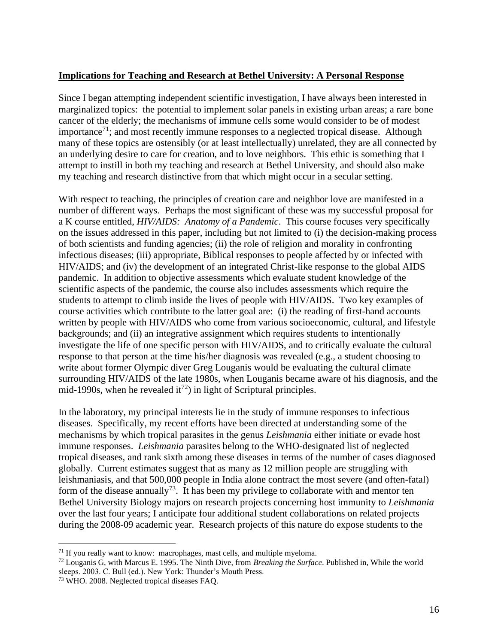#### **Implications for Teaching and Research at Bethel University: A Personal Response**

Since I began attempting independent scientific investigation, I have always been interested in marginalized topics: the potential to implement solar panels in existing urban areas; a rare bone cancer of the elderly; the mechanisms of immune cells some would consider to be of modest importance<sup>71</sup>; and most recently immune responses to a neglected tropical disease. Although many of these topics are ostensibly (or at least intellectually) unrelated, they are all connected by an underlying desire to care for creation, and to love neighbors. This ethic is something that I attempt to instill in both my teaching and research at Bethel University, and should also make my teaching and research distinctive from that which might occur in a secular setting.

With respect to teaching, the principles of creation care and neighbor love are manifested in a number of different ways. Perhaps the most significant of these was my successful proposal for a K course entitled, *HIV/AIDS: Anatomy of a Pandemic*. This course focuses very specifically on the issues addressed in this paper, including but not limited to (i) the decision-making process of both scientists and funding agencies; (ii) the role of religion and morality in confronting infectious diseases; (iii) appropriate, Biblical responses to people affected by or infected with HIV/AIDS; and (iv) the development of an integrated Christ-like response to the global AIDS pandemic. In addition to objective assessments which evaluate student knowledge of the scientific aspects of the pandemic, the course also includes assessments which require the students to attempt to climb inside the lives of people with HIV/AIDS. Two key examples of course activities which contribute to the latter goal are: (i) the reading of first-hand accounts written by people with HIV/AIDS who come from various socioeconomic, cultural, and lifestyle backgrounds; and (ii) an integrative assignment which requires students to intentionally investigate the life of one specific person with HIV/AIDS, and to critically evaluate the cultural response to that person at the time his/her diagnosis was revealed (e.g., a student choosing to write about former Olympic diver Greg Louganis would be evaluating the cultural climate surrounding HIV/AIDS of the late 1980s, when Louganis became aware of his diagnosis, and the mid-1990s, when he revealed it<sup>72</sup>) in light of Scriptural principles.

In the laboratory, my principal interests lie in the study of immune responses to infectious diseases. Specifically, my recent efforts have been directed at understanding some of the mechanisms by which tropical parasites in the genus *Leishmania* either initiate or evade host immune responses. *Leishmania* parasites belong to the WHO-designated list of neglected tropical diseases, and rank sixth among these diseases in terms of the number of cases diagnosed globally. Current estimates suggest that as many as 12 million people are struggling with leishmaniasis, and that 500,000 people in India alone contract the most severe (and often-fatal) form of the disease annually<sup>73</sup>. It has been my privilege to collaborate with and mentor ten Bethel University Biology majors on research projects concerning host immunity to *Leishmania* over the last four years; I anticipate four additional student collaborations on related projects during the 2008-09 academic year. Research projects of this nature do expose students to the

 $71$  If you really want to know: macrophages, mast cells, and multiple myeloma.

<sup>72</sup> Louganis G, with Marcus E. 1995. The Ninth Dive, from *Breaking the Surface*. Published in, While the world sleeps. 2003. C. Bull (ed.). New York: Thunder's Mouth Press.

<sup>73</sup> WHO. 2008. Neglected tropical diseases FAQ.